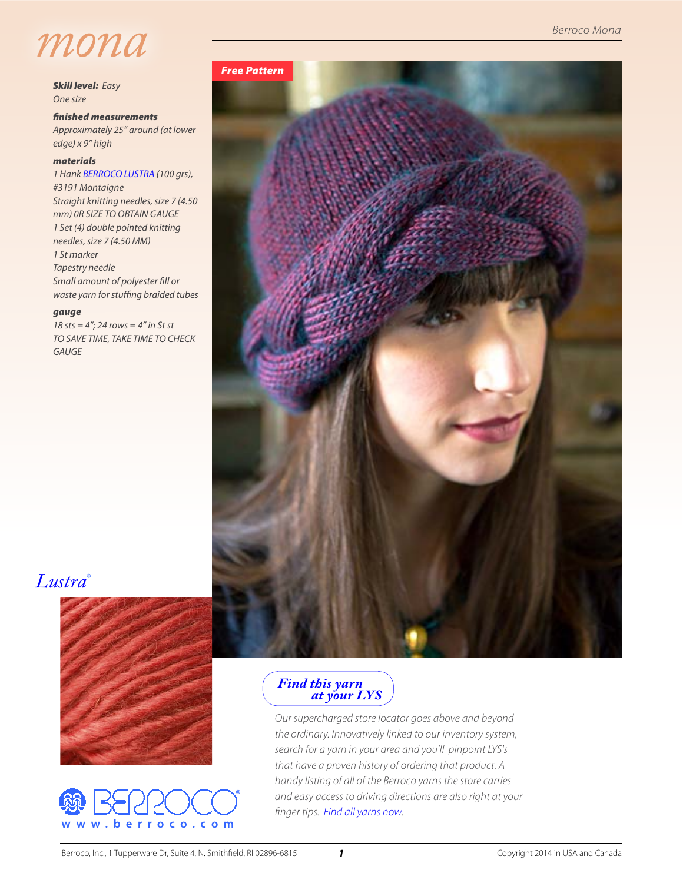

*Skill level: Easy One size*

*finished measurements Approximately 25" around (at lower edge) x 9" high*

#### *materials*

*1 Hank [BERROCO LUSTRA](http://www.berroco.com/yarns/lustra) (100 grs), #3191 Montaigne Straight knitting needles, size 7 (4.50 mm) 0R SIZE TO OBTAIN GAUGE 1 Set (4) double pointed knitting needles, size 7 (4.50 MM) 1 St marker Tapestry needle Small amount of polyester fill or waste yarn for stuffing braided tubes*

#### *gauge*

*18 sts = 4"; 24 rows = 4" in St st TO SAVE TIME, TAKE TIME TO CHECK GAUGE*

# *[Lustra](http://www.berroco.com/yarns/lustra)*®







### *Find this yarn  [at your LYS](http://www.berroco.com/store-locator/shops?optionOPT1=berroco&optionOPT2=~Lstr~B&mapid=US&lang=en&design=default&place=)*

*Our supercharged store locator goes above and beyond the ordinary. Innovatively linked to our inventory system, search for a yarn in your area and you'll pinpoint LYS's that have a proven history of ordering that product. A handy listing of all of the Berroco yarns the store carries and easy access to driving directions are also right at your finger tips. [Find all yarns now](http://www.berroco.com/store-locator).*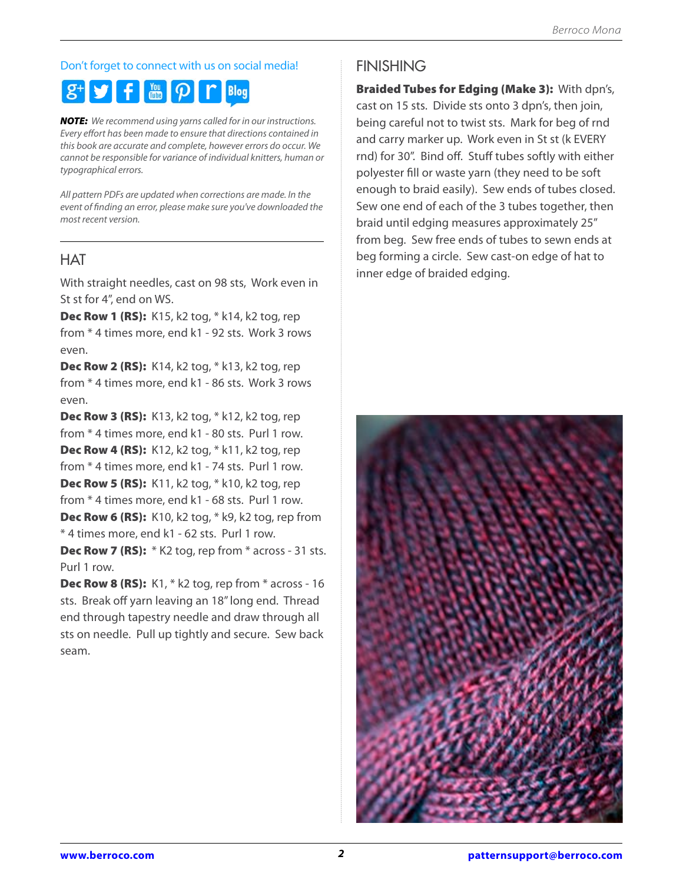## Don't forget to connect with us on social media!

#### $\mathbb{R}$   $\Omega$ f. **Blog**

*NOTE: We recommend using yarns called for in our instructions. Every effort has been made to ensure that directions contained in this book are accurate and complete, however errors do occur. We cannot be responsible for variance of individual knitters, human or typographical errors.*

*All pattern PDFs are updated when corrections are made. In the event of finding an error, please make sure you've downloaded the most recent version.*

## **HAT**

With straight needles, cast on 98 sts, Work even in St st for 4", end on WS.

**Dec Row 1 (RS):** K15, k2 tog, \* k14, k2 tog, rep from \* 4 times more, end k1 - 92 sts. Work 3 rows even.

Dec Row 2 (RS): K14, k2 tog, \* k13, k2 tog, rep from \* 4 times more, end k1 - 86 sts. Work 3 rows even.

Dec Row 3 (RS): K13, k2 tog, \* k12, k2 tog, rep from \* 4 times more, end k1 - 80 sts. Purl 1 row. Dec Row 4 (RS): K12, k2 tog, \* k11, k2 tog, rep from \* 4 times more, end k1 - 74 sts. Purl 1 row. Dec Row 5 (RS): K11, k2 tog, \* k10, k2 tog, rep from \* 4 times more, end k1 - 68 sts. Purl 1 row. **Dec Row 6 (RS):** K10, k2 tog, \* k9, k2 tog, rep from \* 4 times more, end k1 - 62 sts. Purl 1 row.

Dec Row 7 (RS): \* K2 tog, rep from \* across - 31 sts. Purl 1 row.

Dec Row 8 (RS): K1, \* k2 tog, rep from \* across - 16 sts. Break off yarn leaving an 18" long end. Thread end through tapestry needle and draw through all sts on needle. Pull up tightly and secure. Sew back seam.

## FINISHING

Braided Tubes for Edging (Make 3): With dpn's, cast on 15 sts. Divide sts onto 3 dpn's, then join, being careful not to twist sts. Mark for beg of rnd and carry marker up. Work even in St st (k EVERY rnd) for 30". Bind off. Stuff tubes softly with either polyester fill or waste yarn (they need to be soft enough to braid easily). Sew ends of tubes closed. Sew one end of each of the 3 tubes together, then braid until edging measures approximately 25" from beg. Sew free ends of tubes to sewn ends at beg forming a circle. Sew cast-on edge of hat to inner edge of braided edging.